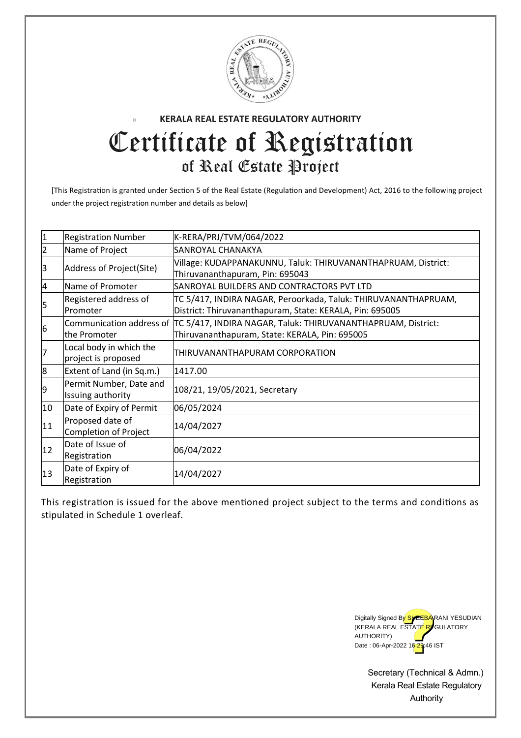

## **KERALA REAL ESTATE REGULATORY AUTHORITY**  $\overline{\phantom{a}}$ Certificate of Registration of Real Estate Project

[This Registration is granted under Section 5 of the Real Estate (Regulation and Development) Act, 2016 to the following project under the project registration number and details as below]

| $\mathbf 1$    | <b>Registration Number</b>                     | K-RERA/PRJ/TVM/064/2022                                                                                                                 |
|----------------|------------------------------------------------|-----------------------------------------------------------------------------------------------------------------------------------------|
| $\overline{2}$ | Name of Project                                | SANROYAL CHANAKYA                                                                                                                       |
| 3              | Address of Project(Site)                       | Village: KUDAPPANAKUNNU, Taluk: THIRUVANANTHAPRUAM, District:<br>Thiruvananthapuram, Pin: 695043                                        |
| $\overline{a}$ | Name of Promoter                               | SANROYAL BUILDERS AND CONTRACTORS PVT LTD                                                                                               |
| 5              | Registered address of<br>Promoter              | TC 5/417, INDIRA NAGAR, Peroorkada, Taluk: THIRUVANANTHAPRUAM,<br>District: Thiruvananthapuram, State: KERALA, Pin: 695005              |
| 6              | lthe Promoter                                  | Communication address of TC 5/417, INDIRA NAGAR, Taluk: THIRUVANANTHAPRUAM, District:<br>Thiruvananthapuram, State: KERALA, Pin: 695005 |
| 7              | Local body in which the<br>project is proposed | THIRUVANANTHAPURAM CORPORATION                                                                                                          |
| 8              | Extent of Land (in Sq.m.)                      | 1417.00                                                                                                                                 |
| 9              | Permit Number, Date and<br>Issuing authority   | 108/21, 19/05/2021, Secretary                                                                                                           |
| 10             | Date of Expiry of Permit                       | 06/05/2024                                                                                                                              |
| 11             | Proposed date of<br>Completion of Project      | 14/04/2027                                                                                                                              |
| 12             | Date of Issue of<br>Registration               | 06/04/2022                                                                                                                              |
| 13             | Date of Expiry of<br>Registration              | 14/04/2027                                                                                                                              |

This registration is issued for the above mentioned project subject to the terms and conditions as stipulated in Schedule 1 overleaf.



Secretary (Technical & Admn.) Kerala Real Estate Regulatory Authority